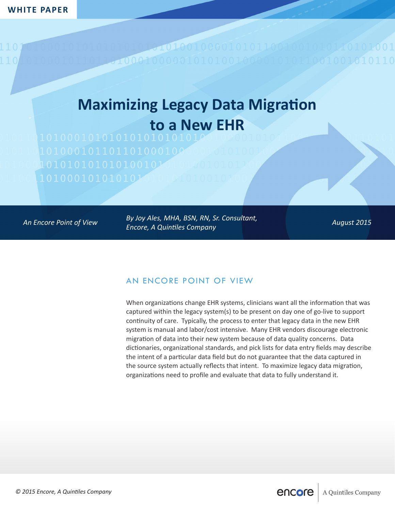| <b>WHITE PAPER</b> |
|--------------------|
|--------------------|

0100100001  $00010$ 

# **Maximizing Legacy Data Migration to a New EHR**

*An Encore Point of View August 2015 By Joy Ales, MHA, BSN, RN, Sr. Consultant, Encore, A Quintiles Company* 

#### AN ENCORE POINT OF VIEW

When organizations change EHR systems, clinicians want all the information that was captured within the legacy system(s) to be present on day one of go-live to support continuity of care. Typically, the process to enter that legacy data in the new EHR system is manual and labor/cost intensive. Many EHR vendors discourage electronic migration of data into their new system because of data quality concerns. Data dictionaries, organizational standards, and pick lists for data entry fields may describe the intent of a particular data field but do not guarantee that the data captured in the source system actually reflects that intent. To maximize legacy data migration, organizations need to profile and evaluate that data to fully understand it.

encore A Quintiles Company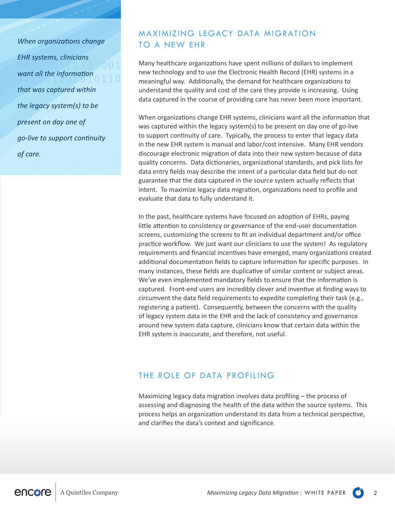*When organizations change EHR systems, clinicians want all the information that was captured within the legacy system(s) to be present on day one of go-live to support continuity of care.* 

## MAXIMIZING LEGACY DATA MIGRATION TO A NEW EHR

Many healthcare organizations have spent millions of dollars to implement new technology and to use the Electronic Health Record (EHR) systems in a meaningful way. Additionally, the demand for healthcare organizations to understand the quality and cost of the care they provide is increasing. Using data captured in the course of providing care has never been more important.

When organizations change EHR systems, clinicians want all the information that was captured within the legacy system(s) to be present on day one of go-live to support continuity of care. Typically, the process to enter that legacy data in the new EHR system is manual and labor/cost intensive. Many EHR vendors discourage electronic migration of data into their new system because of data quality concerns. Data dictionaries, organizational standards, and pick lists for data entry fields may describe the intent of a particular data field but do not guarantee that the data captured in the source system actually reflects that intent. To maximize legacy data migration, organizations need to profile and evaluate that data to fully understand it.

In the past, healthcare systems have focused on adoption of EHRs, paying little attention to consistency or governance of the end-user documentation screens, customizing the screens to fit an individual department and/or office practice workflow. We just want our clinicians to use the system! As regulatory requirements and financial incentives have emerged, many organizations created additional documentation fields to capture information for specific purposes. In many instances, these fields are duplicative of similar content or subject areas. We've even implemented mandatory fields to ensure that the information is captured. Front-end users are incredibly clever and inventive at finding ways to circumvent the data field requirements to expedite completing their task (e.g., registering a patient). Consequently, between the concerns with the quality of legacy system data in the EHR and the lack of consistency and governance around new system data capture, clinicians know that certain data within the EHR system is inaccurate, and therefore, not useful.

## THE ROLE OF DATA PROFILING

Maximizing legacy data migration involves data profiling – the process of assessing and diagnosing the health of the data within the source systems. This process helps an organization understand its data from a technical perspective, and clarifies the data's context and significance.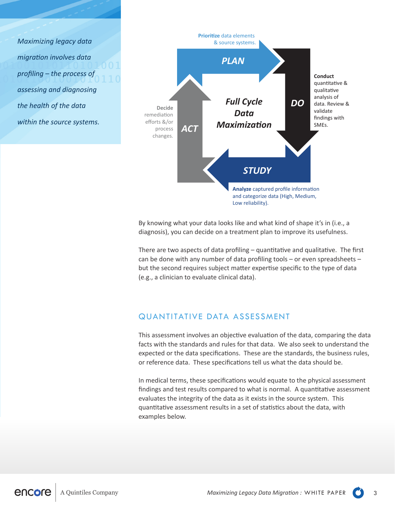*Maximizing legacy data migration involves data profiling – the process of assessing and diagnosing the health of the data within the source systems.* 



By knowing what your data looks like and what kind of shape it's in (i.e., a diagnosis), you can decide on a treatment plan to improve its usefulness.

There are two aspects of data profiling – quantitative and qualitative. The first can be done with any number of data profiling tools – or even spreadsheets – but the second requires subject matter expertise specific to the type of data (e.g., a clinician to evaluate clinical data).

## QUANTITATIVE DATA ASSESSMENT

This assessment involves an objective evaluation of the data, comparing the data facts with the standards and rules for that data. We also seek to understand the expected or the data specifications. These are the standards, the business rules, or reference data. These specifications tell us what the data should be.

In medical terms, these specifications would equate to the physical assessment findings and test results compared to what is normal. A quantitative assessment evaluates the integrity of the data as it exists in the source system. This quantitative assessment results in a set of statistics about the data, with examples below.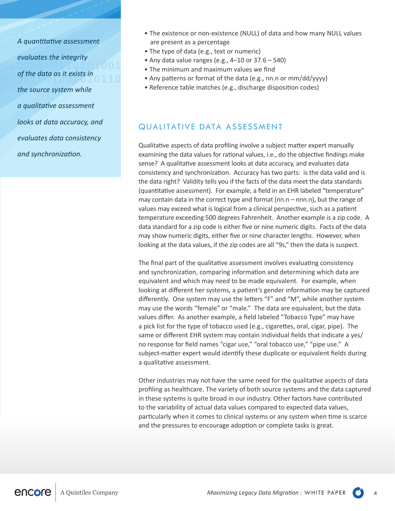*A quantitative assessment evaluates the integrity of the data as it exists in the source system while a qualitative assessment looks at data accuracy, and evaluates data consistency and synchronization.*

- The existence or non-existence (NULL) of data and how many NULL values are present as a percentage
- The type of data (e.g., text or numeric)
- Any data value ranges (e.g., 4–10 or 37.6 540)
- The minimum and maximum values we find
- Any patterns or format of the data (e.g., nn.n or mm/dd/yyyy)
- Reference table matches (e.g., discharge disposition codes)

#### QUALITATIVE DATA ASSESSMENT

Qualitative aspects of data profiling involve a subject matter expert manually examining the data values for rational values, i.e., do the objective findings make sense? A qualitative assessment looks at data accuracy, and evaluates data consistency and synchronization. Accuracy has two parts: is the data valid and is the data right? Validity tells you if the facts of the data meet the data standards (quantitative assessment). For example, a field in an EHR labeled "temperature" may contain data in the correct type and format (nn.n – nnn.n), but the range of values may exceed what is logical from a clinical perspective, such as a patient temperature exceeding 500 degrees Fahrenheit. Another example is a zip code. A data standard for a zip code is either five or nine numeric digits. Facts of the data may show numeric digits, either five or nine character lengths. However, when looking at the data values, if the zip codes are all "9s," then the data is suspect.

The final part of the qualitative assessment involves evaluating consistency and synchronization, comparing information and determining which data are equivalent and which may need to be made equivalent. For example, when looking at different her systems, a patient's gender information may be captured differently. One system may use the letters "F" and "M", while another system may use the words "female" or "male." The data are equivalent, but the data values differ. As another example, a field labeled "Tobacco Type" may have a pick list for the type of tobacco used (e.g., cigarettes, oral, cigar, pipe). The same or different EHR system may contain individual fields that indicate a yes/ no response for field names "cigar use," "oral tobacco use," "pipe use." A subject-matter expert would identify these duplicate or equivalent fields during a qualitative assessment.

Other industries may not have the same need for the qualitative aspects of data profiling as healthcare. The variety of both source systems and the data captured in these systems is quite broad in our industry. Other factors have contributed to the variability of actual data values compared to expected data values, particularly when it comes to clinical systems or any system when time is scarce and the pressures to encourage adoption or complete tasks is great.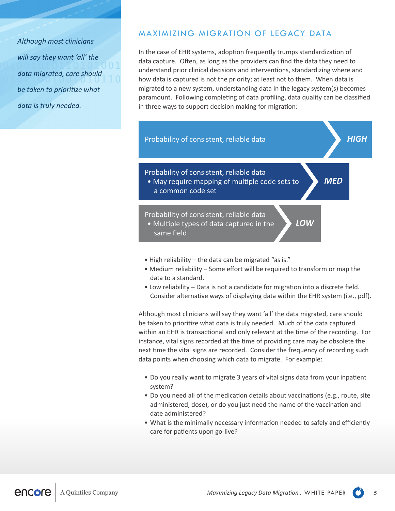*Although most clinicians will say they want 'all' the data migrated, care should be taken to prioritize what data is truly needed.* 

## MAXIMIZING MIGRATION OF LEGACY DATA

In the case of EHR systems, adoption frequently trumps standardization of data capture. Often, as long as the providers can find the data they need to understand prior clinical decisions and interventions, standardizing where and how data is captured is not the priority; at least not to them. When data is migrated to a new system, understanding data in the legacy system(s) becomes paramount. Following completing of data profiling, data quality can be classified in three ways to support decision making for migration:



- High reliability the data can be migrated "as is."
- Medium reliability Some effort will be required to transform or map the data to a standard.
- Low reliability Data is not a candidate for migration into a discrete field. Consider alternative ways of displaying data within the EHR system (i.e., pdf).

Although most clinicians will say they want 'all' the data migrated, care should be taken to prioritize what data is truly needed. Much of the data captured within an EHR is transactional and only relevant at the time of the recording. For instance, vital signs recorded at the time of providing care may be obsolete the next time the vital signs are recorded. Consider the frequency of recording such data points when choosing which data to migrate. For example:

- Do you really want to migrate 3 years of vital signs data from your inpatient system?
- Do you need all of the medication details about vaccinations (e.g., route, site administered, dose), or do you just need the name of the vaccination and date administered?
- What is the minimally necessary information needed to safely and efficiently care for patients upon go-live?